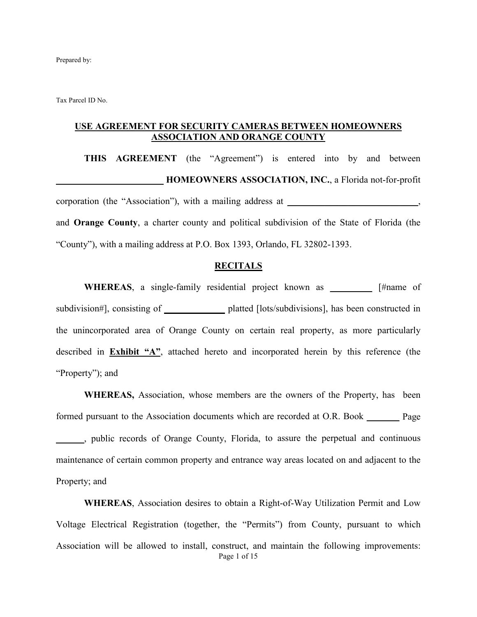Prepared by:

Tax Parcel ID No.

#### **USE AGREEMENT FOR SECURITY CAMERAS BETWEEN HOMEOWNERS ASSOCIATION AND ORANGE COUNTY**

**THIS AGREEMENT** (the "Agreement") is entered into by and between **\_\_\_\_\_\_\_\_\_\_\_\_\_\_\_\_\_\_\_\_\_\_\_ HOMEOWNERS ASSOCIATION, INC.**, a Florida not-for-profit corporation (the "Association"), with a mailing address at \_\_\_\_\_\_\_\_\_\_\_\_\_\_\_\_\_\_\_\_\_, and **Orange County**, a charter county and political subdivision of the State of Florida (the "County"), with a mailing address at P.O. Box 1393, Orlando, FL 32802-1393.

#### **RECITALS**

**WHEREAS**, a single-family residential project known as **\_\_\_\_\_\_\_\_\_** [#name of subdivision#], consisting of **\_\_\_\_\_\_\_\_\_\_\_\_\_** platted [lots/subdivisions], has been constructed in the unincorporated area of Orange County on certain real property, as more particularly described in **Exhibit "A"**, attached hereto and incorporated herein by this reference (the "Property"); and

**WHEREAS,** Association, whose members are the owners of the Property, has been formed pursuant to the Association documents which are recorded at O.R. Book **\_\_\_\_\_\_\_** Page **\_\_\_\_\_\_**, public records of Orange County, Florida, to assure the perpetual and continuous maintenance of certain common property and entrance way areas located on and adjacent to the Property; and

Page 1 of 15 **WHEREAS**, Association desires to obtain a Right-of-Way Utilization Permit and Low Voltage Electrical Registration (together, the "Permits") from County, pursuant to which Association will be allowed to install, construct, and maintain the following improvements: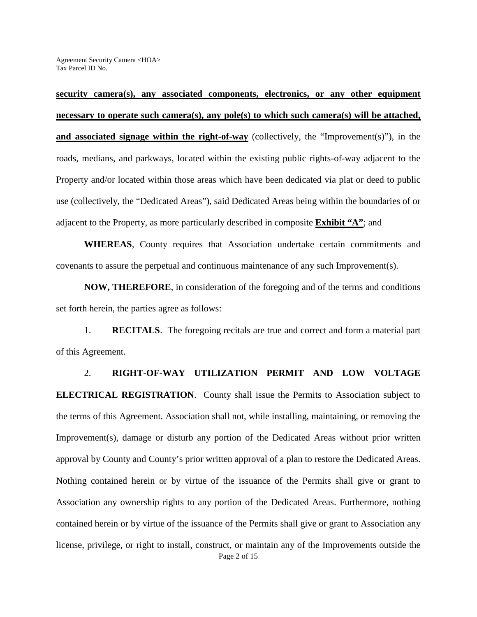**security camera(s), any associated components, electronics, or any other equipment necessary to operate such camera(s), any pole(s) to which such camera(s) will be attached, and associated signage within the right-of-way** (collectively, the "Improvement(s)"), in the roads, medians, and parkways, located within the existing public rights-of-way adjacent to the Property and/or located within those areas which have been dedicated via plat or deed to public use (collectively, the "Dedicated Areas"), said Dedicated Areas being within the boundaries of or adjacent to the Property, as more particularly described in composite **Exhibit "A"**; and

**WHEREAS**, County requires that Association undertake certain commitments and covenants to assure the perpetual and continuous maintenance of any such Improvement(s).

**NOW, THEREFORE**, in consideration of the foregoing and of the terms and conditions set forth herein, the parties agree as follows:

1. **RECITALS**. The foregoing recitals are true and correct and form a material part of this Agreement.

Page 2 of 15 2. **RIGHT-OF-WAY UTILIZATION PERMIT AND LOW VOLTAGE ELECTRICAL REGISTRATION**. County shall issue the Permits to Association subject to the terms of this Agreement. Association shall not, while installing, maintaining, or removing the Improvement(s), damage or disturb any portion of the Dedicated Areas without prior written approval by County and County's prior written approval of a plan to restore the Dedicated Areas. Nothing contained herein or by virtue of the issuance of the Permits shall give or grant to Association any ownership rights to any portion of the Dedicated Areas. Furthermore, nothing contained herein or by virtue of the issuance of the Permits shall give or grant to Association any license, privilege, or right to install, construct, or maintain any of the Improvements outside the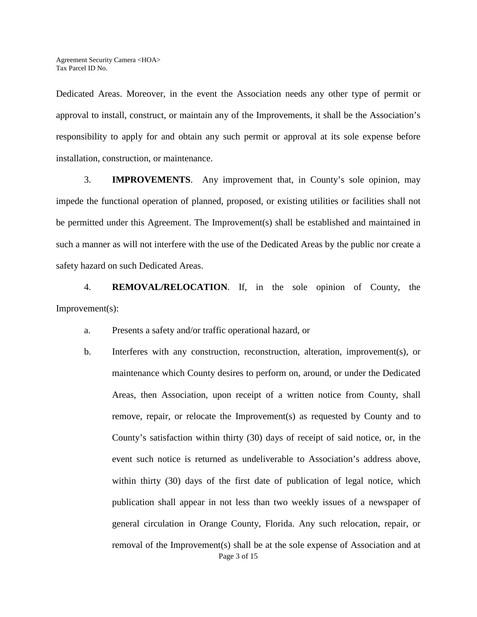Dedicated Areas. Moreover, in the event the Association needs any other type of permit or approval to install, construct, or maintain any of the Improvements, it shall be the Association's responsibility to apply for and obtain any such permit or approval at its sole expense before installation, construction, or maintenance.

3. **IMPROVEMENTS**. Any improvement that, in County's sole opinion, may impede the functional operation of planned, proposed, or existing utilities or facilities shall not be permitted under this Agreement. The Improvement(s) shall be established and maintained in such a manner as will not interfere with the use of the Dedicated Areas by the public nor create a safety hazard on such Dedicated Areas.

4. **REMOVAL/RELOCATION**. If, in the sole opinion of County, the Improvement(s):

- a. Presents a safety and/or traffic operational hazard, or
- Page 3 of 15 b. Interferes with any construction, reconstruction, alteration, improvement(s), or maintenance which County desires to perform on, around, or under the Dedicated Areas, then Association, upon receipt of a written notice from County, shall remove, repair, or relocate the Improvement(s) as requested by County and to County's satisfaction within thirty (30) days of receipt of said notice, or, in the event such notice is returned as undeliverable to Association's address above, within thirty (30) days of the first date of publication of legal notice, which publication shall appear in not less than two weekly issues of a newspaper of general circulation in Orange County, Florida. Any such relocation, repair, or removal of the Improvement(s) shall be at the sole expense of Association and at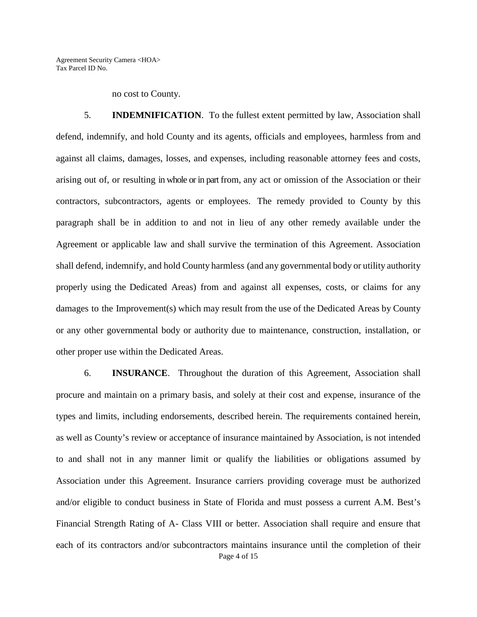no cost to County.

5. **INDEMNIFICATION**. To the fullest extent permitted by law, Association shall defend, indemnify, and hold County and its agents, officials and employees, harmless from and against all claims, damages, losses, and expenses, including reasonable attorney fees and costs, arising out of, or resulting in whole or in part from, any act or omission of the Association or their contractors, subcontractors, agents or employees. The remedy provided to County by this paragraph shall be in addition to and not in lieu of any other remedy available under the Agreement or applicable law and shall survive the termination of this Agreement. Association shall defend, indemnify, and hold County harmless (and any governmental body or utility authority properly using the Dedicated Areas) from and against all expenses, costs, or claims for any damages to the Improvement(s) which may result from the use of the Dedicated Areas by County or any other governmental body or authority due to maintenance, construction, installation, or other proper use within the Dedicated Areas.

Page 4 of 15 6. **INSURANCE**. Throughout the duration of this Agreement, Association shall procure and maintain on a primary basis, and solely at their cost and expense, insurance of the types and limits, including endorsements, described herein. The requirements contained herein, as well as County's review or acceptance of insurance maintained by Association, is not intended to and shall not in any manner limit or qualify the liabilities or obligations assumed by Association under this Agreement. Insurance carriers providing coverage must be authorized and/or eligible to conduct business in State of Florida and must possess a current A.M. Best's Financial Strength Rating of A- Class VIII or better. Association shall require and ensure that each of its contractors and/or subcontractors maintains insurance until the completion of their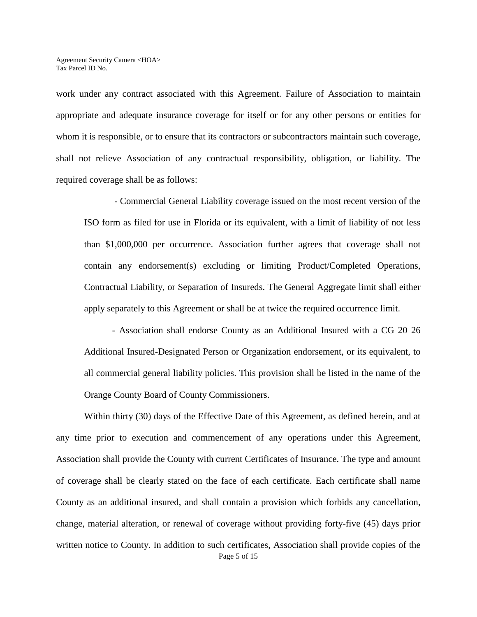work under any contract associated with this Agreement. Failure of Association to maintain appropriate and adequate insurance coverage for itself or for any other persons or entities for whom it is responsible, or to ensure that its contractors or subcontractors maintain such coverage, shall not relieve Association of any contractual responsibility, obligation, or liability. The required coverage shall be as follows:

 - Commercial General Liability coverage issued on the most recent version of the ISO form as filed for use in Florida or its equivalent, with a limit of liability of not less than \$1,000,000 per occurrence. Association further agrees that coverage shall not contain any endorsement(s) excluding or limiting Product/Completed Operations, Contractual Liability, or Separation of Insureds. The General Aggregate limit shall either apply separately to this Agreement or shall be at twice the required occurrence limit.

- Association shall endorse County as an Additional Insured with a CG 20 26 Additional Insured-Designated Person or Organization endorsement, or its equivalent, to all commercial general liability policies. This provision shall be listed in the name of the Orange County Board of County Commissioners.

Page 5 of 15 Within thirty (30) days of the Effective Date of this Agreement, as defined herein, and at any time prior to execution and commencement of any operations under this Agreement, Association shall provide the County with current Certificates of Insurance. The type and amount of coverage shall be clearly stated on the face of each certificate. Each certificate shall name County as an additional insured, and shall contain a provision which forbids any cancellation, change, material alteration, or renewal of coverage without providing forty-five (45) days prior written notice to County. In addition to such certificates, Association shall provide copies of the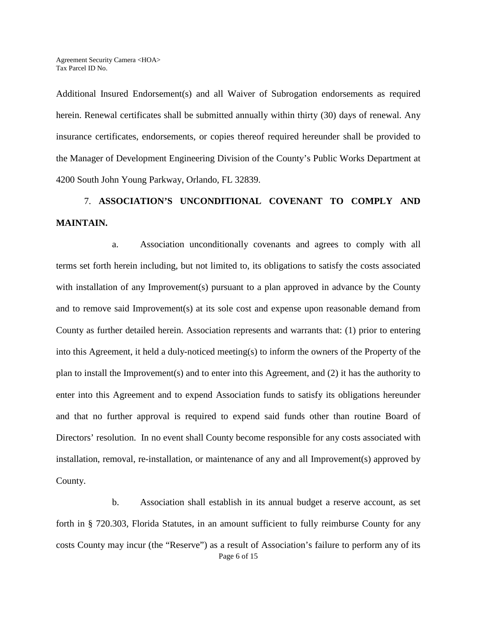Additional Insured Endorsement(s) and all Waiver of Subrogation endorsements as required herein. Renewal certificates shall be submitted annually within thirty (30) days of renewal. Any insurance certificates, endorsements, or copies thereof required hereunder shall be provided to the Manager of Development Engineering Division of the County's Public Works Department at 4200 South John Young Parkway, Orlando, FL 32839.

# 7. **ASSOCIATION'S UNCONDITIONAL COVENANT TO COMPLY AND MAINTAIN.**

a. Association unconditionally covenants and agrees to comply with all terms set forth herein including, but not limited to, its obligations to satisfy the costs associated with installation of any Improvement(s) pursuant to a plan approved in advance by the County and to remove said Improvement(s) at its sole cost and expense upon reasonable demand from County as further detailed herein. Association represents and warrants that: (1) prior to entering into this Agreement, it held a duly-noticed meeting(s) to inform the owners of the Property of the plan to install the Improvement(s) and to enter into this Agreement, and (2) it has the authority to enter into this Agreement and to expend Association funds to satisfy its obligations hereunder and that no further approval is required to expend said funds other than routine Board of Directors' resolution. In no event shall County become responsible for any costs associated with installation, removal, re-installation, or maintenance of any and all Improvement(s) approved by County.

Page 6 of 15 b. Association shall establish in its annual budget a reserve account, as set forth in § 720.303, Florida Statutes, in an amount sufficient to fully reimburse County for any costs County may incur (the "Reserve") as a result of Association's failure to perform any of its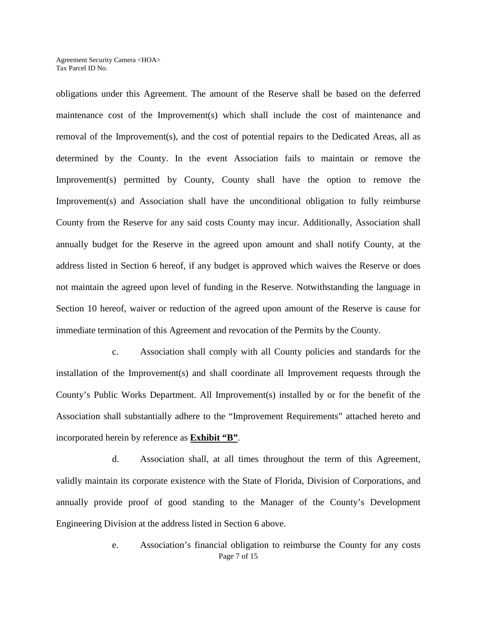obligations under this Agreement. The amount of the Reserve shall be based on the deferred maintenance cost of the Improvement(s) which shall include the cost of maintenance and removal of the Improvement(s), and the cost of potential repairs to the Dedicated Areas, all as determined by the County. In the event Association fails to maintain or remove the Improvement(s) permitted by County, County shall have the option to remove the Improvement(s) and Association shall have the unconditional obligation to fully reimburse County from the Reserve for any said costs County may incur. Additionally, Association shall annually budget for the Reserve in the agreed upon amount and shall notify County, at the address listed in Section 6 hereof, if any budget is approved which waives the Reserve or does not maintain the agreed upon level of funding in the Reserve. Notwithstanding the language in Section 10 hereof, waiver or reduction of the agreed upon amount of the Reserve is cause for immediate termination of this Agreement and revocation of the Permits by the County.

c. Association shall comply with all County policies and standards for the installation of the Improvement(s) and shall coordinate all Improvement requests through the County's Public Works Department. All Improvement(s) installed by or for the benefit of the Association shall substantially adhere to the "Improvement Requirements" attached hereto and incorporated herein by reference as **Exhibit "B"**.

 d. Association shall, at all times throughout the term of this Agreement, validly maintain its corporate existence with the State of Florida, Division of Corporations, and annually provide proof of good standing to the Manager of the County's Development Engineering Division at the address listed in Section 6 above.

> Page 7 of 15 e. Association's financial obligation to reimburse the County for any costs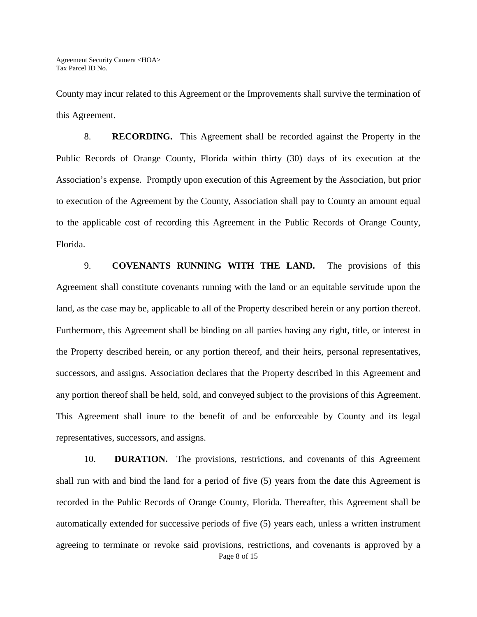County may incur related to this Agreement or the Improvements shall survive the termination of this Agreement.

8. **RECORDING.** This Agreement shall be recorded against the Property in the Public Records of Orange County, Florida within thirty (30) days of its execution at the Association's expense. Promptly upon execution of this Agreement by the Association, but prior to execution of the Agreement by the County, Association shall pay to County an amount equal to the applicable cost of recording this Agreement in the Public Records of Orange County, Florida.

9. **COVENANTS RUNNING WITH THE LAND.** The provisions of this Agreement shall constitute covenants running with the land or an equitable servitude upon the land, as the case may be, applicable to all of the Property described herein or any portion thereof. Furthermore, this Agreement shall be binding on all parties having any right, title, or interest in the Property described herein, or any portion thereof, and their heirs, personal representatives, successors, and assigns. Association declares that the Property described in this Agreement and any portion thereof shall be held, sold, and conveyed subject to the provisions of this Agreement. This Agreement shall inure to the benefit of and be enforceable by County and its legal representatives, successors, and assigns.

Page 8 of 15 10. **DURATION.** The provisions, restrictions, and covenants of this Agreement shall run with and bind the land for a period of five (5) years from the date this Agreement is recorded in the Public Records of Orange County, Florida. Thereafter, this Agreement shall be automatically extended for successive periods of five (5) years each, unless a written instrument agreeing to terminate or revoke said provisions, restrictions, and covenants is approved by a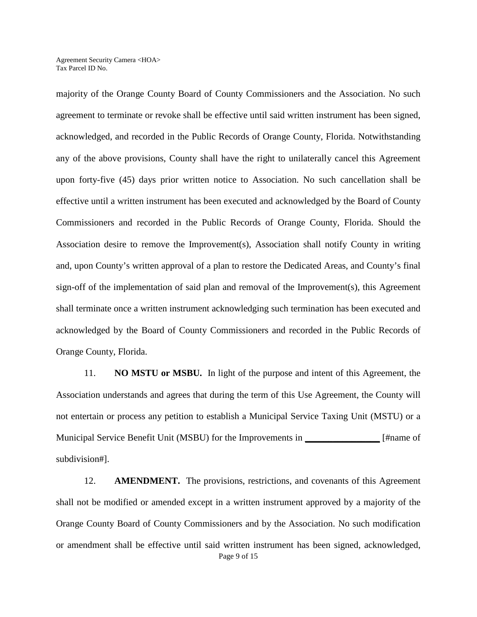majority of the Orange County Board of County Commissioners and the Association. No such agreement to terminate or revoke shall be effective until said written instrument has been signed, acknowledged, and recorded in the Public Records of Orange County, Florida. Notwithstanding any of the above provisions, County shall have the right to unilaterally cancel this Agreement upon forty-five (45) days prior written notice to Association. No such cancellation shall be effective until a written instrument has been executed and acknowledged by the Board of County Commissioners and recorded in the Public Records of Orange County, Florida. Should the Association desire to remove the Improvement(s), Association shall notify County in writing and, upon County's written approval of a plan to restore the Dedicated Areas, and County's final sign-off of the implementation of said plan and removal of the Improvement(s), this Agreement shall terminate once a written instrument acknowledging such termination has been executed and acknowledged by the Board of County Commissioners and recorded in the Public Records of Orange County, Florida.

11. **NO MSTU or MSBU.** In light of the purpose and intent of this Agreement, the Association understands and agrees that during the term of this Use Agreement, the County will not entertain or process any petition to establish a Municipal Service Taxing Unit (MSTU) or a Municipal Service Benefit Unit (MSBU) for the Improvements in **\_\_\_\_\_\_\_\_\_\_\_\_\_\_\_\_** [#name of subdivision#].

Page 9 of 15 12. **AMENDMENT.** The provisions, restrictions, and covenants of this Agreement shall not be modified or amended except in a written instrument approved by a majority of the Orange County Board of County Commissioners and by the Association. No such modification or amendment shall be effective until said written instrument has been signed, acknowledged,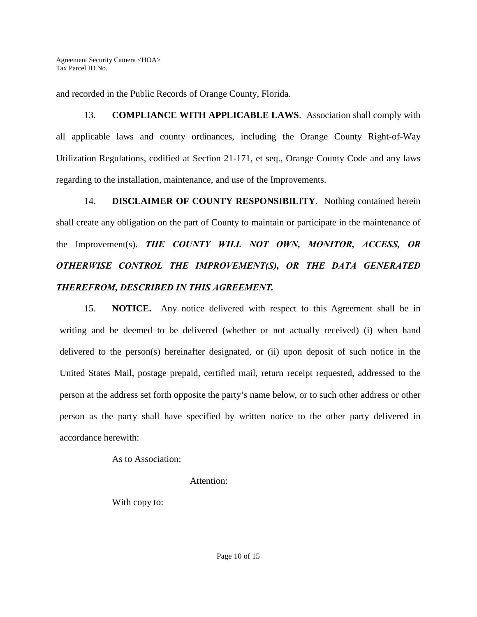and recorded in the Public Records of Orange County, Florida.

13. **COMPLIANCE WITH APPLICABLE LAWS**. Association shall comply with all applicable laws and county ordinances, including the Orange County Right-of-Way Utilization Regulations, codified at Section 21-171, et seq., Orange County Code and any laws regarding to the installation, maintenance, and use of the Improvements.

14. **DISCLAIMER OF COUNTY RESPONSIBILITY**. Nothing contained herein shall create any obligation on the part of County to maintain or participate in the maintenance of the Improvement(s). *THE COUNTY WILL NOT OWN, MONITOR, ACCESS, OR OTHERWISE CONTROL THE IMPROVEMENT(S), OR THE DATA GENERATED THEREFROM, DESCRIBED IN THIS AGREEMENT.*

15. **NOTICE.**Any notice delivered with respect to this Agreement shall be in writing and be deemed to be delivered (whether or not actually received) (i) when hand delivered to the person(s) hereinafter designated, or (ii) upon deposit of such notice in the United States Mail, postage prepaid, certified mail, return receipt requested, addressed to the person at the address set forth opposite the party's name below, or to such other address or other person as the party shall have specified by written notice to the other party delivered in accordance herewith:

As to Association:

Attention:

With copy to: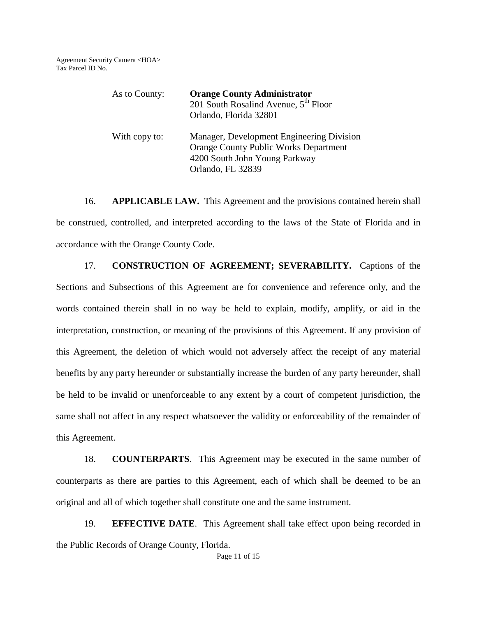| As to County: | <b>Orange County Administrator</b><br>201 South Rosalind Avenue, 5 <sup>th</sup> Floor<br>Orlando, Florida 32801                                |
|---------------|-------------------------------------------------------------------------------------------------------------------------------------------------|
| With copy to: | Manager, Development Engineering Division<br><b>Orange County Public Works Department</b><br>4200 South John Young Parkway<br>Orlando, FL 32839 |

16. **APPLICABLE LAW.** This Agreement and the provisions contained herein shall be construed, controlled, and interpreted according to the laws of the State of Florida and in accordance with the Orange County Code.

17. **CONSTRUCTION OF AGREEMENT; SEVERABILITY.** Captions of the Sections and Subsections of this Agreement are for convenience and reference only, and the words contained therein shall in no way be held to explain, modify, amplify, or aid in the interpretation, construction, or meaning of the provisions of this Agreement. If any provision of this Agreement, the deletion of which would not adversely affect the receipt of any material benefits by any party hereunder or substantially increase the burden of any party hereunder, shall be held to be invalid or unenforceable to any extent by a court of competent jurisdiction, the same shall not affect in any respect whatsoever the validity or enforceability of the remainder of this Agreement.

18. **COUNTERPARTS**. This Agreement may be executed in the same number of counterparts as there are parties to this Agreement, each of which shall be deemed to be an original and all of which together shall constitute one and the same instrument.

19. **EFFECTIVE DATE**. This Agreement shall take effect upon being recorded in the Public Records of Orange County, Florida.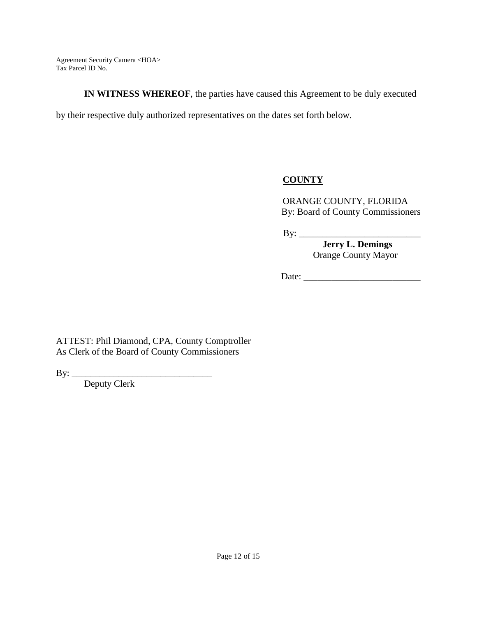**IN WITNESS WHEREOF**, the parties have caused this Agreement to be duly executed

by their respective duly authorized representatives on the dates set forth below.

# **COUNTY**

ORANGE COUNTY, FLORIDA By: Board of County Commissioners

By: \_\_\_\_\_\_\_\_\_\_\_\_\_\_\_\_\_\_\_\_\_\_\_\_\_\_

 **Jerry L. Demings**  Orange County Mayor

Date:

ATTEST: Phil Diamond, CPA, County Comptroller As Clerk of the Board of County Commissioners

By: \_\_\_\_\_\_\_\_\_\_\_\_\_\_\_\_\_\_\_\_\_\_\_\_\_\_\_\_\_\_

Deputy Clerk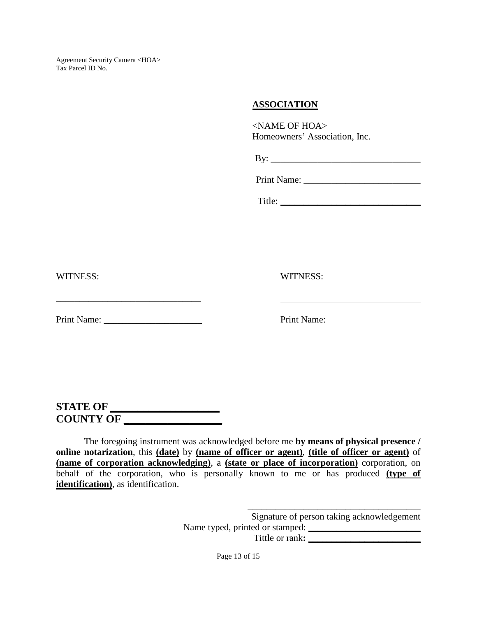#### **ASSOCIATION**

<NAME OF HOA> Homeowners' Association, Inc.

| B۱<br>- |  |
|---------|--|
|         |  |

| <b>Print Name:</b> |  |
|--------------------|--|
|--------------------|--|

Title: \_\_\_\_\_\_\_\_\_\_\_\_\_\_\_\_\_\_\_\_\_\_\_\_\_\_\_\_\_\_

WITNESS: WITNESS:

Print Name: \_\_\_\_\_\_\_\_\_\_\_\_\_\_\_\_\_\_\_\_\_ Print Name:

\_\_\_\_\_\_\_\_\_\_\_\_\_\_\_\_\_\_\_\_\_\_\_\_\_\_\_\_\_\_\_

# **STATE OF \_\_\_\_\_\_\_\_\_\_\_\_\_\_\_\_\_\_\_\_ COUNTY OF \_\_\_\_\_\_\_\_\_\_\_\_\_\_\_\_\_\_**

The foregoing instrument was acknowledged before me **by means of physical presence / online notarization**, this **(date)** by **(name of officer or agent)**, **(title of officer or agent)** of **(name of corporation acknowledging)**, a **(state or place of incorporation)** corporation, on behalf of the corporation, who is personally known to me or has produced **(type of identification)**, as identification.

> \_\_\_\_\_\_\_\_\_\_\_\_\_\_\_\_\_\_\_\_\_\_\_\_\_\_\_\_\_\_\_\_\_\_\_\_\_ Signature of person taking acknowledgement Name typed, printed or stamped: Tittle or rank**: \_\_\_\_\_\_\_\_\_\_\_\_\_\_\_\_\_\_\_\_\_\_\_\_**

> > Page 13 of 15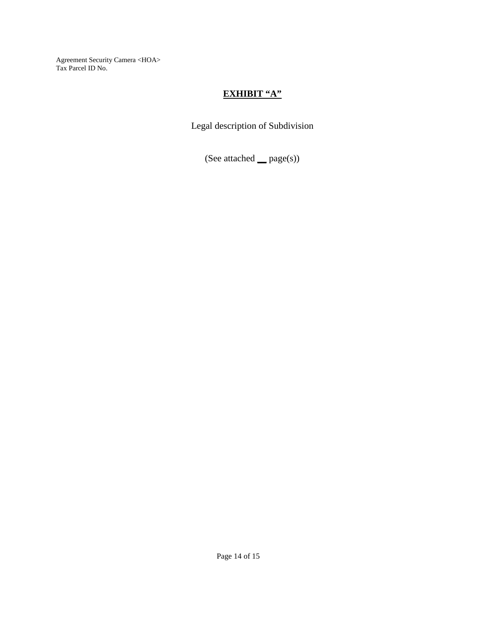# **EXHIBIT "A"**

Legal description of Subdivision

(See attached **\_\_** page(s))